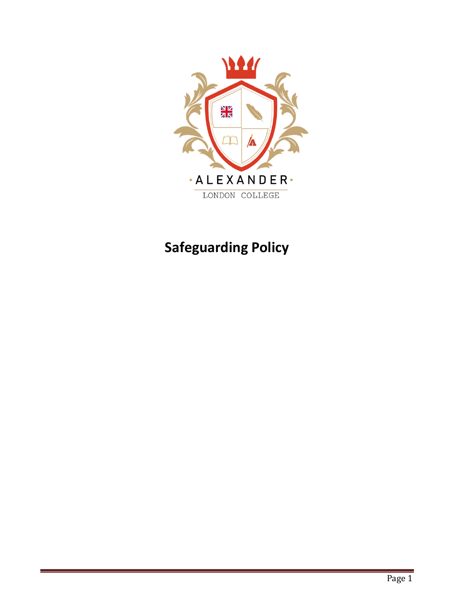

# **Safeguarding Policy**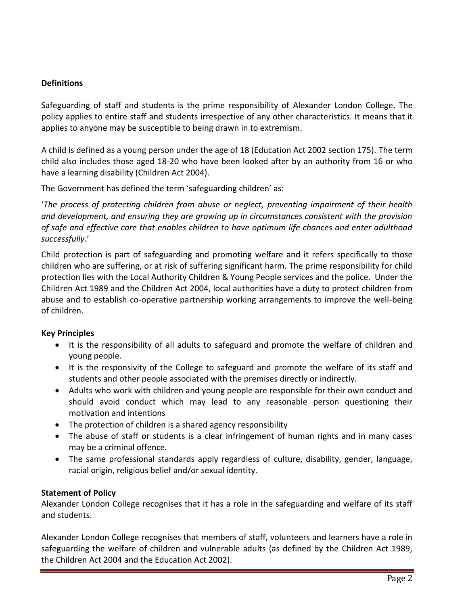# **Definitions**

Safeguarding of staff and students is the prime responsibility of Alexander London College. The policy applies to entire staff and students irrespective of any other characteristics. It means that it applies to anyone may be susceptible to being drawn in to extremism.

A child is defined as a young person under the age of 18 (Education Act 2002 section 175). The term child also includes those aged 18-20 who have been looked after by an authority from 16 or who have a learning disability (Children Act 2004).

The Government has defined the term 'safeguarding children' as:

'*The process of protecting children from abuse or neglect, preventing impairment of their health and development, and ensuring they are growing up in circumstances consistent with the provision of safe and effective care that enables children to have optimum life chances and enter adulthood successfully.*'

Child protection is part of safeguarding and promoting welfare and it refers specifically to those children who are suffering, or at risk of suffering significant harm. The prime responsibility for child protection lies with the Local Authority Children & Young People services and the police. Under the Children Act 1989 and the Children Act 2004, local authorities have a duty to protect children from abuse and to establish co-operative partnership working arrangements to improve the well-being of children.

# **Key Principles**

- It is the responsibility of all adults to safeguard and promote the welfare of children and young people.
- It is the responsivity of the College to safeguard and promote the welfare of its staff and students and other people associated with the premises directly or indirectly.
- Adults who work with children and young people are responsible for their own conduct and should avoid conduct which may lead to any reasonable person questioning their motivation and intentions
- The protection of children is a shared agency responsibility
- The abuse of staff or students is a clear infringement of human rights and in many cases may be a criminal offence.
- The same professional standards apply regardless of culture, disability, gender, language, racial origin, religious belief and/or sexual identity.

# **Statement of Policy**

Alexander London College recognises that it has a role in the safeguarding and welfare of its staff and students.

Alexander London College recognises that members of staff, volunteers and learners have a role in safeguarding the welfare of children and vulnerable adults (as defined by the Children Act 1989, the Children Act 2004 and the Education Act 2002).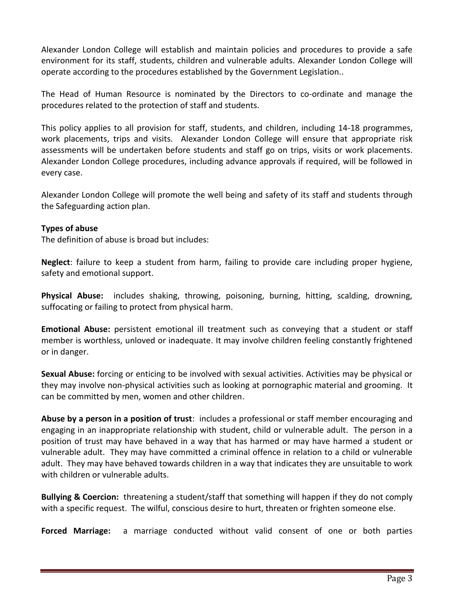Alexander London College will establish and maintain policies and procedures to provide a safe environment for its staff, students, children and vulnerable adults. Alexander London College will operate according to the procedures established by the Government Legislation..

The Head of Human Resource is nominated by the Directors to co-ordinate and manage the procedures related to the protection of staff and students.

This policy applies to all provision for staff, students, and children, including 14-18 programmes, work placements, trips and visits. Alexander London College will ensure that appropriate risk assessments will be undertaken before students and staff go on trips, visits or work placements. Alexander London College procedures, including advance approvals if required, will be followed in every case.

Alexander London College will promote the well being and safety of its staff and students through the Safeguarding action plan.

## **Types of abuse**

The definition of abuse is broad but includes:

**Neglect**: failure to keep a student from harm, failing to provide care including proper hygiene, safety and emotional support.

**Physical Abuse:** includes shaking, throwing, poisoning, burning, hitting, scalding, drowning, suffocating or failing to protect from physical harm.

**Emotional Abuse:** persistent emotional ill treatment such as conveying that a student or staff member is worthless, unloved or inadequate. It may involve children feeling constantly frightened or in danger.

**Sexual Abuse:** forcing or enticing to be involved with sexual activities. Activities may be physical or they may involve non-physical activities such as looking at pornographic material and grooming. It can be committed by men, women and other children.

**Abuse by a person in a position of trust**: includes a professional or staff member encouraging and engaging in an inappropriate relationship with student, child or vulnerable adult. The person in a position of trust may have behaved in a way that has harmed or may have harmed a student or vulnerable adult. They may have committed a criminal offence in relation to a child or vulnerable adult. They may have behaved towards children in a way that indicates they are unsuitable to work with children or vulnerable adults.

**Bullying & Coercion:** threatening a student/staff that something will happen if they do not comply with a specific request. The wilful, conscious desire to hurt, threaten or frighten someone else.

**Forced Marriage:** a marriage conducted without valid consent of one or both parties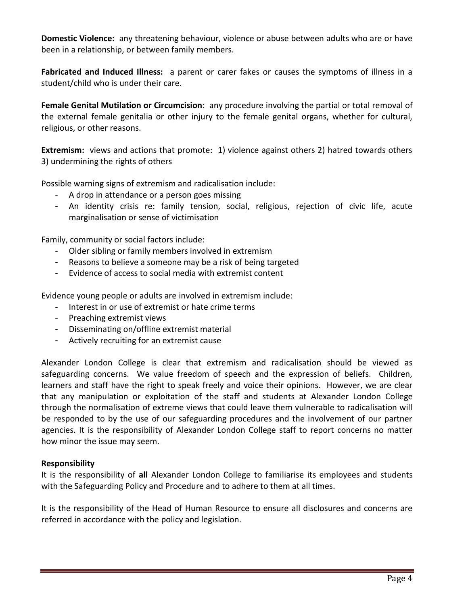**Domestic Violence:** any threatening behaviour, violence or abuse between adults who are or have been in a relationship, or between family members.

**Fabricated and Induced Illness:** a parent or carer fakes or causes the symptoms of illness in a student/child who is under their care.

**Female Genital Mutilation or Circumcision**: any procedure involving the partial or total removal of the external female genitalia or other injury to the female genital organs, whether for cultural, religious, or other reasons.

**Extremism:** views and actions that promote: 1) violence against others 2) hatred towards others 3) undermining the rights of others

Possible warning signs of extremism and radicalisation include:

- A drop in attendance or a person goes missing
- An identity crisis re: family tension, social, religious, rejection of civic life, acute marginalisation or sense of victimisation

Family, community or social factors include:

- Older sibling or family members involved in extremism
- Reasons to believe a someone may be a risk of being targeted
- Evidence of access to social media with extremist content

Evidence young people or adults are involved in extremism include:

- Interest in or use of extremist or hate crime terms
- Preaching extremist views
- Disseminating on/offline extremist material
- Actively recruiting for an extremist cause

Alexander London College is clear that extremism and radicalisation should be viewed as safeguarding concerns. We value freedom of speech and the expression of beliefs. Children, learners and staff have the right to speak freely and voice their opinions. However, we are clear that any manipulation or exploitation of the staff and students at Alexander London College through the normalisation of extreme views that could leave them vulnerable to radicalisation will be responded to by the use of our safeguarding procedures and the involvement of our partner agencies. It is the responsibility of Alexander London College staff to report concerns no matter how minor the issue may seem.

#### **Responsibility**

It is the responsibility of **all** Alexander London College to familiarise its employees and students with the Safeguarding Policy and Procedure and to adhere to them at all times.

It is the responsibility of the Head of Human Resource to ensure all disclosures and concerns are referred in accordance with the policy and legislation.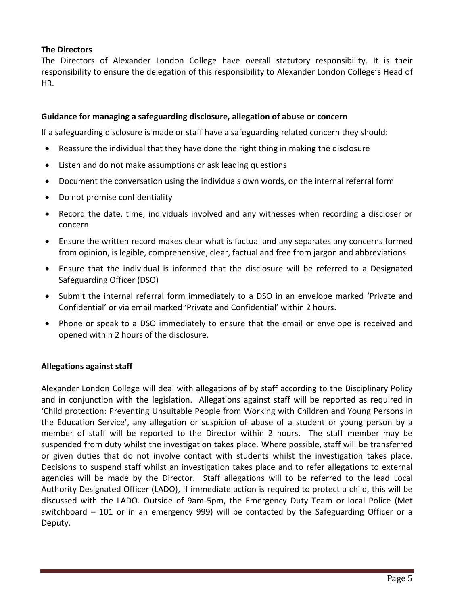# **The Directors**

The Directors of Alexander London College have overall statutory responsibility. It is their responsibility to ensure the delegation of this responsibility to Alexander London College's Head of HR.

## **Guidance for managing a safeguarding disclosure, allegation of abuse or concern**

If a safeguarding disclosure is made or staff have a safeguarding related concern they should:

- Reassure the individual that they have done the right thing in making the disclosure
- Listen and do not make assumptions or ask leading questions
- Document the conversation using the individuals own words, on the internal referral form
- Do not promise confidentiality
- Record the date, time, individuals involved and any witnesses when recording a discloser or concern
- Ensure the written record makes clear what is factual and any separates any concerns formed from opinion, is legible, comprehensive, clear, factual and free from jargon and abbreviations
- Ensure that the individual is informed that the disclosure will be referred to a Designated Safeguarding Officer (DSO)
- Submit the internal referral form immediately to a DSO in an envelope marked 'Private and Confidential' or via email marked 'Private and Confidential' within 2 hours.
- Phone or speak to a DSO immediately to ensure that the email or envelope is received and opened within 2 hours of the disclosure.

#### **Allegations against staff**

Alexander London College will deal with allegations of by staff according to the Disciplinary Policy and in conjunction with the legislation. Allegations against staff will be reported as required in 'Child protection: Preventing Unsuitable People from Working with Children and Young Persons in the Education Service', any allegation or suspicion of abuse of a student or young person by a member of staff will be reported to the Director within 2 hours. The staff member may be suspended from duty whilst the investigation takes place. Where possible, staff will be transferred or given duties that do not involve contact with students whilst the investigation takes place. Decisions to suspend staff whilst an investigation takes place and to refer allegations to external agencies will be made by the Director. Staff allegations will to be referred to the lead Local Authority Designated Officer (LADO), If immediate action is required to protect a child, this will be discussed with the LADO. Outside of 9am-5pm, the Emergency Duty Team or local Police (Met switchboard – 101 or in an emergency 999) will be contacted by the Safeguarding Officer or a Deputy.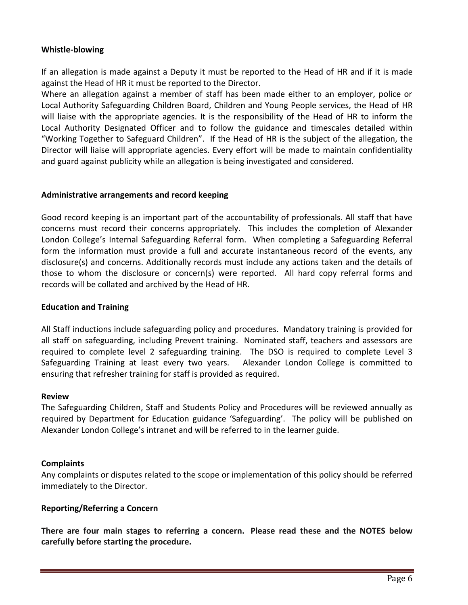## **Whistle-blowing**

If an allegation is made against a Deputy it must be reported to the Head of HR and if it is made against the Head of HR it must be reported to the Director.

Where an allegation against a member of staff has been made either to an employer, police or Local Authority Safeguarding Children Board, Children and Young People services, the Head of HR will liaise with the appropriate agencies. It is the responsibility of the Head of HR to inform the Local Authority Designated Officer and to follow the guidance and timescales detailed within "Working Together to Safeguard Children". If the Head of HR is the subject of the allegation, the Director will liaise will appropriate agencies. Every effort will be made to maintain confidentiality and guard against publicity while an allegation is being investigated and considered.

## **Administrative arrangements and record keeping**

Good record keeping is an important part of the accountability of professionals. All staff that have concerns must record their concerns appropriately. This includes the completion of Alexander London College's Internal Safeguarding Referral form. When completing a Safeguarding Referral form the information must provide a full and accurate instantaneous record of the events, any disclosure(s) and concerns. Additionally records must include any actions taken and the details of those to whom the disclosure or concern(s) were reported. All hard copy referral forms and records will be collated and archived by the Head of HR.

## **Education and Training**

All Staff inductions include safeguarding policy and procedures. Mandatory training is provided for all staff on safeguarding, including Prevent training. Nominated staff, teachers and assessors are required to complete level 2 safeguarding training. The DSO is required to complete Level 3 Safeguarding Training at least every two years. Alexander London College is committed to ensuring that refresher training for staff is provided as required.

#### **Review**

The Safeguarding Children, Staff and Students Policy and Procedures will be reviewed annually as required by Department for Education guidance 'Safeguarding'. The policy will be published on Alexander London College's intranet and will be referred to in the learner guide.

#### **Complaints**

Any complaints or disputes related to the scope or implementation of this policy should be referred immediately to the Director.

#### **Reporting/Referring a Concern**

**There are four main stages to referring a concern. Please read these and the NOTES below carefully before starting the procedure.**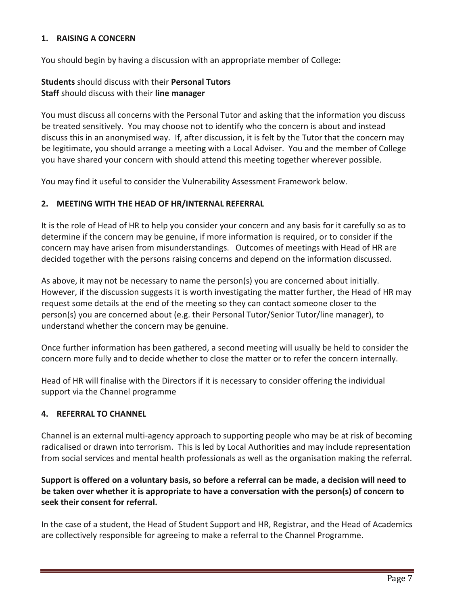## **1. RAISING A CONCERN**

You should begin by having a discussion with an appropriate member of College:

# **Students** should discuss with their **Personal Tutors Staff** should discuss with their **line manager**

You must discuss all concerns with the Personal Tutor and asking that the information you discuss be treated sensitively. You may choose not to identify who the concern is about and instead discuss this in an anonymised way. If, after discussion, it is felt by the Tutor that the concern may be legitimate, you should arrange a meeting with a Local Adviser. You and the member of College you have shared your concern with should attend this meeting together wherever possible.

You may find it useful to consider the Vulnerability Assessment Framework below.

# **2. MEETING WITH THE HEAD OF HR/INTERNAL REFERRAL**

It is the role of Head of HR to help you consider your concern and any basis for it carefully so as to determine if the concern may be genuine, if more information is required, or to consider if the concern may have arisen from misunderstandings. Outcomes of meetings with Head of HR are decided together with the persons raising concerns and depend on the information discussed.

As above, it may not be necessary to name the person(s) you are concerned about initially. However, if the discussion suggests it is worth investigating the matter further, the Head of HR may request some details at the end of the meeting so they can contact someone closer to the person(s) you are concerned about (e.g. their Personal Tutor/Senior Tutor/line manager), to understand whether the concern may be genuine.

Once further information has been gathered, a second meeting will usually be held to consider the concern more fully and to decide whether to close the matter or to refer the concern internally.

Head of HR will finalise with the Directors if it is necessary to consider offering the individual support via the Channel programme

# **4. REFERRAL TO CHANNEL**

Channel is an external multi-agency approach to supporting people who may be at risk of becoming radicalised or drawn into terrorism. This is led by Local Authorities and may include representation from social services and mental health professionals as well as the organisation making the referral.

# Support is offered on a voluntary basis, so before a referral can be made, a decision will need to **be taken over whether it is appropriate to have a conversation with the person(s) of concern to seek their consent for referral.**

In the case of a student, the Head of Student Support and HR, Registrar, and the Head of Academics are collectively responsible for agreeing to make a referral to the Channel Programme.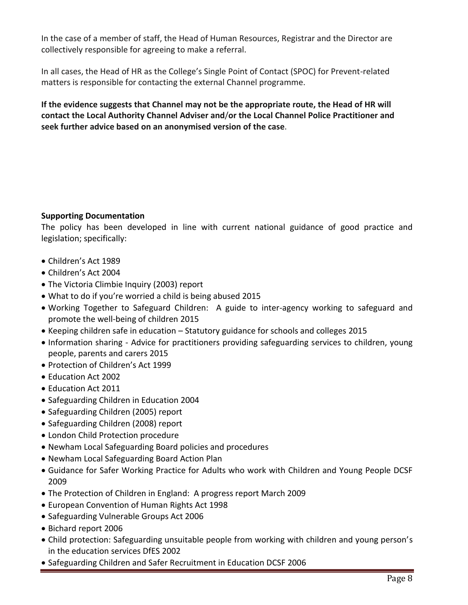In the case of a member of staff, the Head of Human Resources, Registrar and the Director are collectively responsible for agreeing to make a referral.

In all cases, the Head of HR as the College's Single Point of Contact (SPOC) for Prevent-related matters is responsible for contacting the external Channel programme.

**If the evidence suggests that Channel may not be the appropriate route, the Head of HR will contact the Local Authority Channel Adviser and**/**or the Local Channel Police Practitioner and seek further advice based on an anonymised version of the case**.

## **Supporting Documentation**

The policy has been developed in line with current national guidance of good practice and legislation; specifically:

- Children's Act 1989
- Children's Act 2004
- The Victoria Climbie Inquiry (2003) report
- What to do if you're worried a child is being abused 2015
- Working Together to Safeguard Children: A guide to inter-agency working to safeguard and promote the well-being of children 2015
- Keeping children safe in education Statutory guidance for schools and colleges 2015
- Information sharing Advice for practitioners providing safeguarding services to children, young people, parents and carers 2015
- Protection of Children's Act 1999
- Education Act 2002
- Education Act 2011
- Safeguarding Children in Education 2004
- Safeguarding Children (2005) report
- Safeguarding Children (2008) report
- London Child Protection procedure
- Newham Local Safeguarding Board policies and procedures
- Newham Local Safeguarding Board Action Plan
- Guidance for Safer Working Practice for Adults who work with Children and Young People DCSF 2009
- The Protection of Children in England: A progress report March 2009
- European Convention of Human Rights Act 1998
- Safeguarding Vulnerable Groups Act 2006
- Bichard report 2006
- Child protection: Safeguarding unsuitable people from working with children and young person's in the education services DfES 2002
- Safeguarding Children and Safer Recruitment in Education DCSF 2006